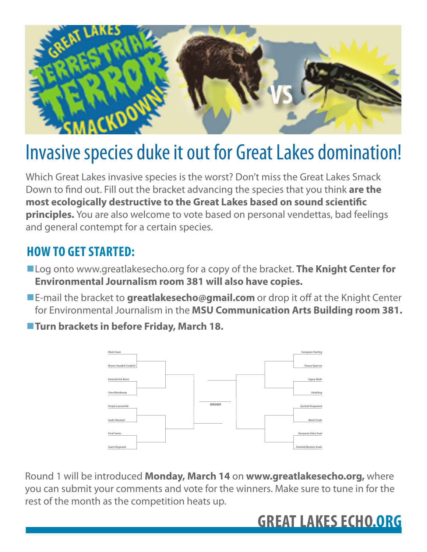

## Invasive species duke it out for Great Lakes domination!

Which Great Lakes invasive species is the worst? Don't miss the Great Lakes Smack Down to find out. Fill out the bracket advancing the species that you think are the **most ecologically destructive to the Great Lakes based on sound scientific principles.** You are also welcome to vote based on personal vendettas, bad feelings and general contempt for a certain species.

## **HOW TO GET STARTED:**

- !Log onto www.greatlakesecho.org for a copy of the bracket. **The Knight Center for Environmental Journalism room 381 will also have copies.**
- **E-mail the bracket to greatlakesecho@gmail.com** or drop it off at the Knight Center for Environmental Journalism in the **MSU Communication Arts Building room 381.**
- !**Turn brackets in before Friday, March 18.**



Round 1 will be introduced **Monday, March 14** on **www.greatlakesecho.org,** where you can submit your comments and vote for the winners. Make sure to tune in for the rest of the month as the competition heats up.

## **GREAT LAKES ECHO.ORG**